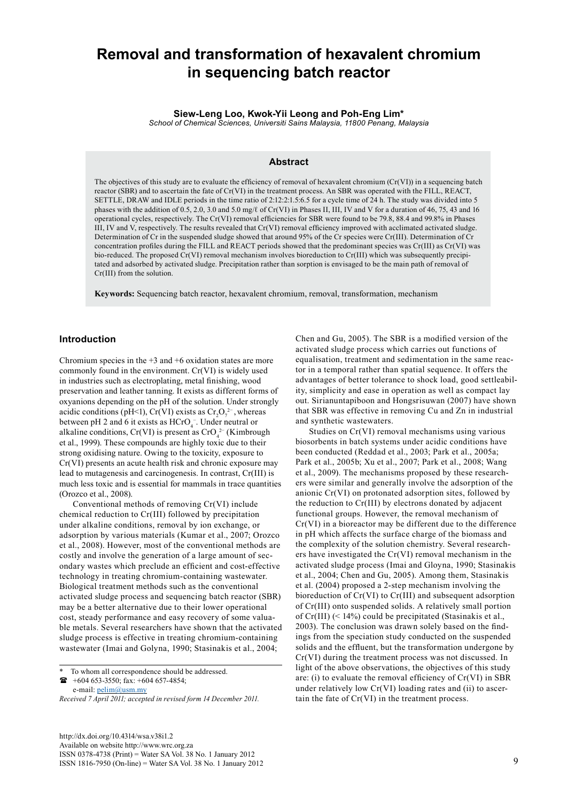# **Removal and transformation of hexavalent chromium in sequencing batch reactor**

**Siew-Leng Loo, Kwok-Yii Leong and Poh-Eng Lim\***

*School of Chemical Sciences, Universiti Sains Malaysia, 11800 Penang, Malaysia*

## **Abstract**

The objectives of this study are to evaluate the efficiency of removal of hexavalent chromium  $(Cr(VI))$  in a sequencing batch reactor (SBR) and to ascertain the fate of Cr(VI) in the treatment process. An SBR was operated with the FILL, REACT, SETTLE, DRAW and IDLE periods in the time ratio of 2:12:2:1.5:6.5 for a cycle time of 24 h. The study was divided into 5 phases with the addition of 0.5, 2.0, 3.0 and 5.0 mg/ℓ of Cr(VI) in Phases II, III, IV and V for a duration of 46, 75, 43 and 16 operational cycles, respectively. The Cr(VI) removal efficiencies for SBR were found to be 79.8, 88.4 and 99.8% in Phases III, IV and V, respectively. The results revealed that Cr(VI) removal efficiency improved with acclimated activated sludge. Determination of Cr in the suspended sludge showed that around 95% of the Cr species were Cr(III). Determination of Cr concentration profiles during the FILL and REACT periods showed that the predominant species was Cr(III) as Cr(VI) was bio-reduced. The proposed Cr(VI) removal mechanism involves bioreduction to Cr(III) which was subsequently precipitated and adsorbed by activated sludge. Precipitation rather than sorption is envisaged to be the main path of removal of Cr(III) from the solution.

**Keywords:** Sequencing batch reactor, hexavalent chromium, removal, transformation, mechanism

## **Introduction**

Chromium species in the  $+3$  and  $+6$  oxidation states are more commonly found in the environment. Cr(VI) is widely used in industries such as electroplating, metal finishing, wood preservation and leather tanning. It exists as different forms of oxyanions depending on the pH of the solution. Under strongly acidic conditions (pH<1), Cr(VI) exists as  $Cr_2O_7^{2-}$ , whereas between pH 2 and 6 it exists as  $HCrO<sub>4</sub><sup>-</sup>$ . Under neutral or alkaline conditions,  $Cr(VI)$  is present as  $CrO<sub>4</sub><sup>2–</sup>$  (Kimbrough et al., 1999). These compounds are highly toxic due to their strong oxidising nature. Owing to the toxicity, exposure to Cr(VI) presents an acute health risk and chronic exposure may lead to mutagenesis and carcinogenesis. In contrast, Cr(III) is much less toxic and is essential for mammals in trace quantities (Orozco et al., 2008).

Conventional methods of removing Cr(VI) include chemical reduction to Cr(III) followed by precipitation under alkaline conditions, removal by ion exchange, or adsorption by various materials (Kumar et al., 2007; Orozco et al., 2008). However, most of the conventional methods are costly and involve the generation of a large amount of secondary wastes which preclude an efficient and cost-effective technology in treating chromium-containing wastewater. Biological treatment methods such as the conventional activated sludge process and sequencing batch reactor (SBR) may be a better alternative due to their lower operational cost, steady performance and easy recovery of some valuable metals. Several researchers have shown that the activated sludge process is effective in treating chromium-containing wastewater (Imai and Golyna, 1990; Stasinakis et al., 2004;

 $\bullet$  +604 653-3550; fax: +604 657-4854; e-mail: [pelim@usm.my](mailto:pelim@usm.my)

Chen and Gu, 2005). The SBR is a modified version of the activated sludge process which carries out functions of equalisation, treatment and sedimentation in the same reactor in a temporal rather than spatial sequence. It offers the advantages of better tolerance to shock load, good settleability, simplicity and ease in operation as well as compact lay out. Sirianuntapiboon and Hongsrisuwan (2007) have shown that SBR was effective in removing Cu and Zn in industrial and synthetic wastewaters.

Studies on Cr(VI) removal mechanisms using various biosorbents in batch systems under acidic conditions have been conducted (Reddad et al., 2003; Park et al., 2005a; Park et al., 2005b; Xu et al., 2007; Park et al., 2008; Wang et al., 2009). The mechanisms proposed by these researchers were similar and generally involve the adsorption of the anionic Cr(VI) on protonated adsorption sites, followed by the reduction to Cr(III) by electrons donated by adjacent functional groups. However, the removal mechanism of Cr(VI) in a bioreactor may be different due to the difference in pH which affects the surface charge of the biomass and the complexity of the solution chemistry. Several researchers have investigated the Cr(VI) removal mechanism in the activated sludge process (Imai and Gloyna, 1990; Stasinakis et al., 2004; Chen and Gu, 2005). Among them, Stasinakis et al. (2004) proposed a 2-step mechanism involving the bioreduction of Cr(VI) to Cr(III) and subsequent adsorption of Cr(III) onto suspended solids. A relatively small portion of Cr(III) (< 14%) could be precipitated (Stasinakis et al., 2003). The conclusion was drawn solely based on the findings from the speciation study conducted on the suspended solids and the effluent, but the transformation undergone by Cr(VI) during the treatment process was not discussed. In light of the above observations, the objectives of this study are: (i) to evaluate the removal efficiency of Cr(VI) in SBR under relatively low Cr(VI) loading rates and (ii) to ascertain the fate of Cr(VI) in the treatment process.

To whom all correspondence should be addressed.

*Received 7 April 2011; accepted in revised form 14 December 2011.*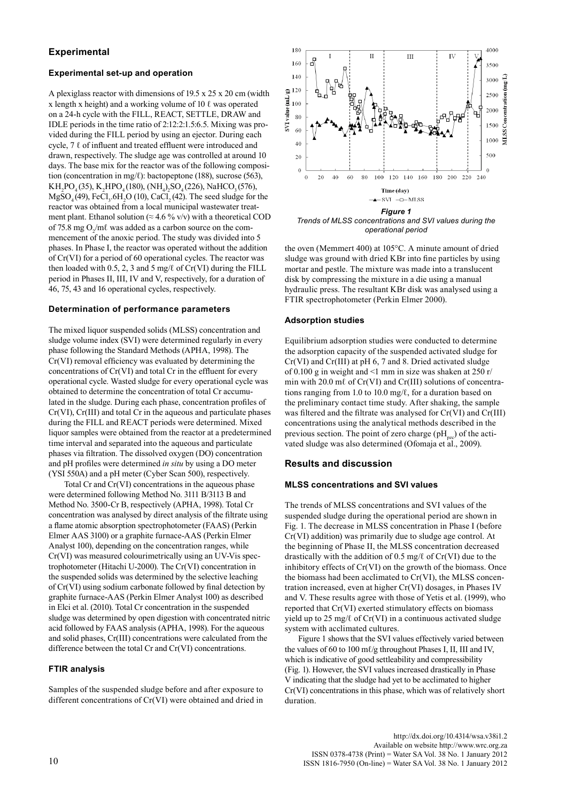## **Experimental**

## **Experimental set-up and operation**

A plexiglass reactor with dimensions of 19.5 x 25 x 20 cm (width x length x height) and a working volume of 10  $\ell$  was operated on a 24-h cycle with the FILL, REACT, SETTLE, DRAW and IDLE periods in the time ratio of 2:12:2:1.5:6.5. Mixing was provided during the FILL period by using an ejector. During each cycle, 7 ℓ of influent and treated effluent were introduced and drawn, respectively. The sludge age was controlled at around 10 days. The base mix for the reactor was of the following composition (concentration in mg/ℓ): bactopeptone (188), sucrose (563),  $KH_2PO_4(35)$ ,  $K_2HPO_4(180)$ ,  $(NH_4)_2SO_4(226)$ , NaHCO<sub>3</sub>(576),  $MgSO_4(49)$ , FeCl<sub>3</sub>.6H<sub>2</sub>O (10), CaCl<sub>2</sub>(42). The seed sludge for the reactor was obtained from a local municipal wastewater treatment plant. Ethanol solution ( $\approx 4.6$  % v/v) with a theoretical COD of 75.8 mg  $O_2/m\ell$  was added as a carbon source on the commencement of the anoxic period. The study was divided into 5 phases. In Phase I, the reactor was operated without the addition of Cr(VI) for a period of 60 operational cycles. The reactor was then loaded with 0.5, 2, 3 and 5 mg/ $\ell$  of Cr(VI) during the FILL period in Phases II, III, IV and V, respectively, for a duration of 46, 75, 43 and 16 operational cycles, respectively.

## **Determination of performance parameters**

The mixed liquor suspended solids (MLSS) concentration and sludge volume index (SVI) were determined regularly in every phase following the Standard Methods (APHA, 1998). The Cr(VI) removal efficiency was evaluated by determining the concentrations of Cr(VI) and total Cr in the effluent for every operational cycle. Wasted sludge for every operational cycle was obtained to determine the concentration of total Cr accumulated in the sludge. During each phase, concentration profiles of Cr(VI), Cr(III) and total Cr in the aqueous and particulate phases during the FILL and REACT periods were determined. Mixed liquor samples were obtained from the reactor at a predetermined time interval and separated into the aqueous and particulate phases via filtration. The dissolved oxygen (DO) concentration and pH profiles were determined *in situ* by using a DO meter (YSI 550A) and a pH meter (Cyber Scan 500), respectively.

 Total Cr and Cr(VI) concentrations in the aqueous phase were determined following Method No. 3111 B/3113 B and Method No. 3500-Cr B, respectively (APHA, 1998). Total Cr concentration was analysed by direct analysis of the filtrate using a flame atomic absorption spectrophotometer (FAAS) (Perkin Elmer AAS 3100) or a graphite furnace-AAS (Perkin Elmer Analyst 100), depending on the concentration ranges, while Cr(VI) was measured colourimetrically using an UV-Vis spectrophotometer (Hitachi U-2000). The Cr(VI) concentration in the suspended solids was determined by the selective leaching of Cr(VI) using sodium carbonate followed by final detection by graphite furnace-AAS (Perkin Elmer Analyst 100) as described in Elci et al. (2010). Total Cr concentration in the suspended sludge was determined by open digestion with concentrated nitric acid followed by FAAS analysis (APHA, 1998). For the aqueous and solid phases, Cr(III) concentrations were calculated from the difference between the total Cr and Cr(VI) concentrations.

### **FTIR analysis**

Samples of the suspended sludge before and after exposure to different concentrations of Cr(VI) were obtained and dried in



*Trends of MLSS concentrations and SVI values during the operational period*

the oven (Memmert 400) at 105°C. A minute amount of dried sludge was ground with dried KBr into fine particles by using mortar and pestle. The mixture was made into a translucent disk by compressing the mixture in a die using a manual hydraulic press. The resultant KBr disk was analysed using a FTIR spectrophotometer (Perkin Elmer 2000).

### **Adsorption studies**

Equilibrium adsorption studies were conducted to determine the adsorption capacity of the suspended activated sludge for Cr(VI) and Cr(III) at pH 6, 7 and 8. Dried activated sludge of 0.100 g in weight and  $\leq 1$  mm in size was shaken at 250 r/ min with 20.0 mℓ of Cr(VI) and Cr(III) solutions of concentrations ranging from 1.0 to 10.0 mg/ℓ, for a duration based on the preliminary contact time study. After shaking, the sample was filtered and the filtrate was analysed for Cr(VI) and Cr(III) concentrations using the analytical methods described in the previous section. The point of zero charge  $(pH_{\text{max}})$  of the activated sludge was also determined (Ofomaja et al., 2009).

## **Results and discussion**

## **MLSS concentrations and SVI values**

The trends of MLSS concentrations and SVI values of the suspended sludge during the operational period are shown in Fig. 1. The decrease in MLSS concentration in Phase I (before Cr(VI) addition) was primarily due to sludge age control. At the beginning of Phase II, the MLSS concentration decreased drastically with the addition of 0.5 mg/ $\ell$  of Cr(VI) due to the inhibitory effects of Cr(VI) on the growth of the biomass. Once the biomass had been acclimated to Cr(VI), the MLSS concentration increased, even at higher Cr(VI) dosages, in Phases IV and V. These results agree with those of Yetis et al. (1999), who reported that Cr(VI) exerted stimulatory effects on biomass yield up to 25 mg/ℓ of Cr(VI) in a continuous activated sludge system with acclimated cultures.

Figure 1 shows that the SVI values effectively varied between the values of 60 to 100 ml/g throughout Phases I, II, III and IV, which is indicative of good settleability and compressibility (Fig. 1). However, the SVI values increased drastically in Phase V indicating that the sludge had yet to be acclimated to higher Cr(VI) concentrations in this phase, which was of relatively short duration.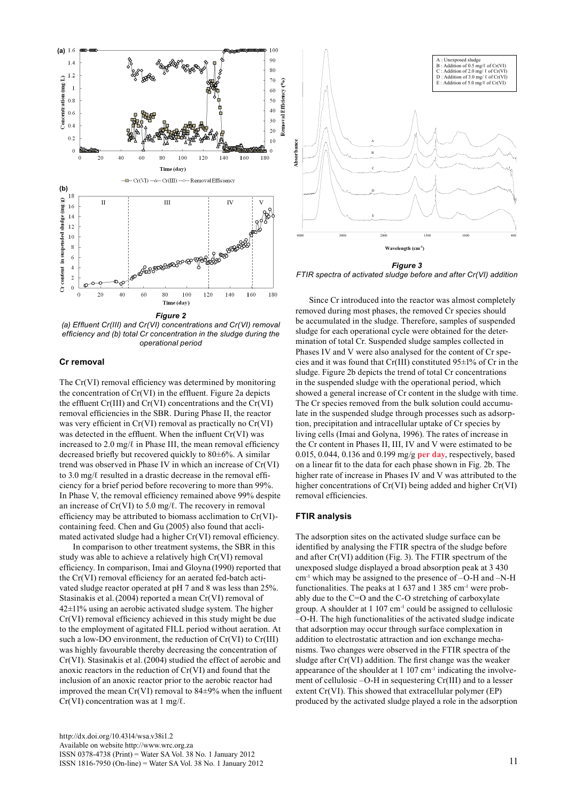

*(a) Effluent Cr(III) and Cr(VI) concentrations and Cr(VI) removal efficiency and (b) total Cr concentration in the sludge during the operational period*

#### **Cr removal**

The Cr(VI) removal efficiency was determined by monitoring the concentration of Cr(VI) in the effluent. Figure 2a depicts the effluent Cr(III) and Cr(VI) concentrations and the Cr(VI) removal efficiencies in the SBR. During Phase II, the reactor was very efficient in Cr(VI) removal as practically no Cr(VI) was detected in the effluent. When the influent Cr(VI) was increased to  $2.0 \text{ mg}/\ell$  in Phase III, the mean removal efficiency decreased briefly but recovered quickly to 80±6%. A similar trend was observed in Phase IV in which an increase of Cr(VI) to 3.0 mg/ℓ resulted in a drastic decrease in the removal efficiency for a brief period before recovering to more than 99%. In Phase V, the removal efficiency remained above 99% despite an increase of  $Cr(VI)$  to 5.0 mg/ $\ell$ . The recovery in removal efficiency may be attributed to biomass acclimation to Cr(VI) containing feed. Chen and Gu (2005) also found that acclimated activated sludge had a higher Cr(VI) removal efficiency.

In comparison to other treatment systems, the SBR in this study was able to achieve a relatively high Cr(VI) removal efficiency. In comparison, Imai and Gloyna (1990) reported that the Cr(VI) removal efficiency for an aerated fed-batch activated sludge reactor operated at pH 7 and 8 was less than 25%. Stasinakis et al.(2004) reported a mean Cr(VI) removal of 42±11% using an aerobic activated sludge system. The higher Cr(VI) removal efficiency achieved in this study might be due to the employment of agitated FILL period without aeration. At such a low-DO environment, the reduction of  $Cr(VI)$  to  $Cr(III)$ was highly favourable thereby decreasing the concentration of Cr(VI). Stasinakis et al.(2004) studied the effect of aerobic and anoxic reactors in the reduction of Cr(VI) and found that the inclusion of an anoxic reactor prior to the aerobic reactor had improved the mean Cr(VI) removal to 84±9% when the influent  $Cr(VI)$  concentration was at 1 mg/ $\ell$ .



*Figure 3 FTIR spectra of activated sludge before and after Cr(VI) addition*

Since Cr introduced into the reactor was almost completely removed during most phases, the removed Cr species should be accumulated in the sludge. Therefore, samples of suspended sludge for each operational cycle were obtained for the determination of total Cr. Suspended sludge samples collected in Phases IV and V were also analysed for the content of Cr species and it was found that Cr(III) constituted  $95\pm1\%$  of Cr in the sludge. Figure 2b depicts the trend of total Cr concentrations in the suspended sludge with the operational period, which showed a general increase of Cr content in the sludge with time. The Cr species removed from the bulk solution could accumulate in the suspended sludge through processes such as adsorption, precipitation and intracellular uptake of Cr species by living cells (Imai and Golyna, 1996). The rates of increase in the Cr content in Phases II, III, IV and V were estimated to be 0.015, 0.044, 0.136 and 0.199 mg/g **per day**, respectively, based on a linear fit to the data for each phase shown in Fig. 2b. The higher rate of increase in Phases IV and V was attributed to the higher concentrations of Cr(VI) being added and higher Cr(VI) removal efficiencies.

#### **FTIR analysis**

The adsorption sites on the activated sludge surface can be identified by analysing the FTIR spectra of the sludge before and after Cr(VI) addition (Fig. 3). The FTIR spectrum of the unexposed sludge displayed a broad absorption peak at 3 430 cm-1 which may be assigned to the presence of –O-H and –N-H functionalities. The peaks at 1 637 and 1 385 cm<sup>-1</sup> were probably due to the C=O and the C-O stretching of carboxylate group. A shoulder at 1 107 cm-1 could be assigned to cellulosic –O-H. The high functionalities of the activated sludge indicate that adsorption may occur through surface complexation in addition to electrostatic attraction and ion exchange mechanisms. Two changes were observed in the FTIR spectra of the sludge after Cr(VI) addition. The first change was the weaker appearance of the shoulder at  $1\ 107\ \text{cm}^{-1}$  indicating the involvement of cellulosic –O-H in sequestering Cr(III) and to a lesser extent Cr(VI). This showed that extracellular polymer (EP) produced by the activated sludge played a role in the adsorption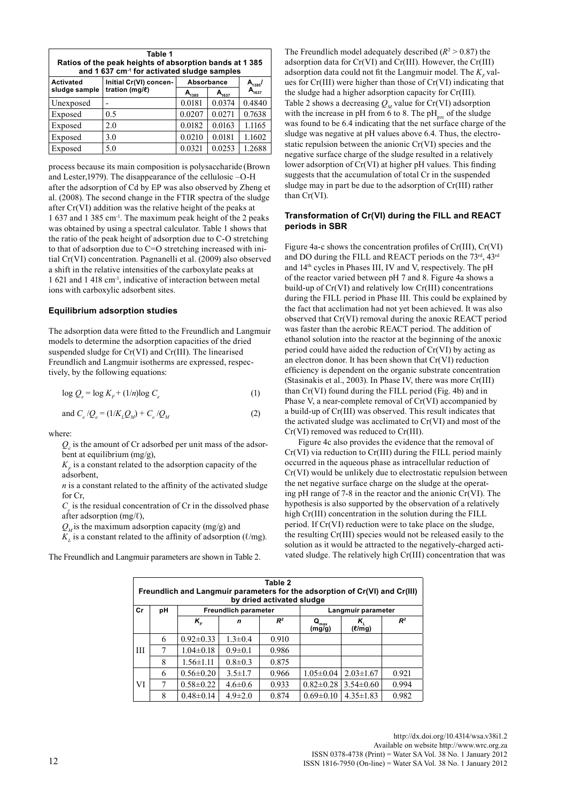| Table 1<br>Ratios of the peak heights of absorption bands at 1385<br>and 1 637 cm <sup>-1</sup> for activated sludge samples |                                          |            |            |            |  |  |  |  |  |
|------------------------------------------------------------------------------------------------------------------------------|------------------------------------------|------------|------------|------------|--|--|--|--|--|
| <b>Activated</b>                                                                                                             | Initial Cr(VI) concen-<br>tration (mg/l) | Absorbance |            | $A_{1385}$ |  |  |  |  |  |
| sludge sample                                                                                                                |                                          | $A_{1385}$ | $A_{1637}$ | $A_{1637}$ |  |  |  |  |  |
| Unexposed                                                                                                                    |                                          | 0.0181     | 0.0374     | 0.4840     |  |  |  |  |  |
| Exposed                                                                                                                      | 0.5                                      | 0.0207     | 0.0271     | 0.7638     |  |  |  |  |  |
| Exposed                                                                                                                      | 2.0                                      | 0.0182     | 0.0163     | 1.1165     |  |  |  |  |  |
| Exposed                                                                                                                      | 3.0                                      | 0.0210     | 0.0181     | 1.1602     |  |  |  |  |  |
| Exposed                                                                                                                      | 5.0                                      | 0.0321     | 0.0253     | 1.2688     |  |  |  |  |  |

process because its main composition is polysaccharide (Brown and Lester,1979). The disappearance of the cellulosic –O-H after the adsorption of Cd by EP was also observed by Zheng et al. (2008). The second change in the FTIR spectra of the sludge after Cr(VI) addition was the relative height of the peaks at 1 637 and 1 385 cm-1. The maximum peak height of the 2 peaks was obtained by using a spectral calculator. Table 1 shows that the ratio of the peak height of adsorption due to C-O stretching to that of adsorption due to C=O stretching increased with initial Cr(VI) concentration. Pagnanelli et al. (2009) also observed a shift in the relative intensities of the carboxylate peaks at 1 621 and 1 418 cm-1, indicative of interaction between metal ions with carboxylic adsorbent sites.

### **Equilibrium adsorption studies**

The adsorption data were fitted to the Freundlich and Langmuir models to determine the adsorption capacities of the dried suspended sludge for Cr(VI) and Cr(III). The linearised Freundlich and Langmuir isotherms are expressed, respectively, by the following equations:

$$
\log Q_e = \log K_F + (1/n)\log C_e \tag{1}
$$

and 
$$
C_e/Q_e = (1/K_L Q_M) + C_e/Q_M
$$
 (2)

where:

*Qe* is the amount of Cr adsorbed per unit mass of the adsorbent at equilibrium (mg/g),

 $K<sub>r</sub>$  is a constant related to the adsorption capacity of the adsorbent,

*n* is a constant related to the affinity of the activated sludge for Cr,

 $C_e$  is the residual concentration of Cr in the dissolved phase after adsorption  $(mg/\ell)$ ,

 $Q_{\mu}$  is the maximum adsorption capacity (mg/g) and

 $K_{\rm L}$  is a constant related to the affinity of adsorption ( $\ell$ /mg).

The Freundlich and Langmuir parameters are shown in Table 2.

The Freundlich model adequately described  $(R^2 > 0.87)$  the adsorption data for Cr(VI) and Cr(III). However, the Cr(III) adsorption data could not fit the Langmuir model. The  $K_F$  values for Cr(III) were higher than those of Cr(VI) indicating that the sludge had a higher adsorption capacity for Cr(III). Table 2 shows a decreasing  $Q_{\mu}$  value for Cr(VI) adsorption with the increase in pH from  $\ddot{\text{o}}$  to 8. The pH<sub>pzc</sub> of the sludge was found to be 6.4 indicating that the net surface charge of the sludge was negative at pH values above 6.4. Thus, the electrostatic repulsion between the anionic Cr(VI) species and the negative surface charge of the sludge resulted in a relatively lower adsorption of Cr(VI) at higher pH values. This finding suggests that the accumulation of total Cr in the suspended sludge may in part be due to the adsorption of Cr(III) rather than Cr(VI).

#### **Transformation of Cr(VI) during the FILL and REACT periods in SBR**

Figure 4a-c shows the concentration profiles of Cr(III), Cr(VI) and DO during the FILL and REACT periods on the 73rd, 43rd and 14th cycles in Phases III, IV and V, respectively. The pH of the reactor varied between pH 7 and 8. Figure 4a shows a build-up of Cr(VI) and relatively low Cr(III) concentrations during the FILL period in Phase III. This could be explained by the fact that acclimation had not yet been achieved. It was also observed that Cr(VI) removal during the anoxic REACT period was faster than the aerobic REACT period. The addition of ethanol solution into the reactor at the beginning of the anoxic period could have aided the reduction of Cr(VI) by acting as an electron donor. It has been shown that Cr(VI) reduction efficiency is dependent on the organic substrate concentration (Stasinakis et al., 2003). In Phase IV, there was more Cr(III) than Cr(VI) found during the FILL period (Fig. 4b) and in Phase V, a near-complete removal of Cr(VI) accompanied by a build-up of Cr(III) was observed. This result indicates that the activated sludge was acclimated to Cr(VI) and most of the Cr(VI) removed was reduced to Cr(III).

Figure 4c also provides the evidence that the removal of Cr(VI) via reduction to Cr(III) during the FILL period mainly occurred in the aqueous phase as intracellular reduction of Cr(VI) would be unlikely due to electrostatic repulsion between the net negative surface charge on the sludge at the operating pH range of 7-8 in the reactor and the anionic Cr(VI). The hypothesis is also supported by the observation of a relatively high Cr(III) concentration in the solution during the FILL period. If Cr(VI) reduction were to take place on the sludge, the resulting Cr(III) species would not be released easily to the solution as it would be attracted to the negatively-charged activated sludge. The relatively high Cr(III) concentration that was

| Table 2<br>Freundlich and Langmuir parameters for the adsorption of Cr(VI) and Cr(III)<br>by dried activated sludge |    |                             |               |       |                            |                   |       |  |  |  |
|---------------------------------------------------------------------------------------------------------------------|----|-----------------------------|---------------|-------|----------------------------|-------------------|-------|--|--|--|
| Cr                                                                                                                  | pH | <b>Freundlich parameter</b> |               |       | Langmuir parameter         |                   |       |  |  |  |
|                                                                                                                     |    | $K_{\varepsilon}$           | n             | $R^2$ | $Q_{\text{max}}$<br>(mg/g) | Κ,<br>$(\ell/mg)$ | $R^2$ |  |  |  |
| Ш                                                                                                                   | 6  | $0.92 \pm 0.33$             | $1.3 \pm 0.4$ | 0.910 |                            |                   |       |  |  |  |
|                                                                                                                     | 7  | $1.04 \pm 0.18$             | $0.9 \pm 0.1$ | 0.986 |                            |                   |       |  |  |  |
|                                                                                                                     | 8  | $1.56 \pm 1.11$             | $0.8 \pm 0.3$ | 0.875 |                            |                   |       |  |  |  |
| VI                                                                                                                  | 6  | $0.56 \pm 0.20$             | $3.5 \pm 1.7$ | 0.966 | $1.05 \pm 0.04$            | $2.03 \pm 1.67$   | 0.921 |  |  |  |
|                                                                                                                     | 7  | $0.58 \pm 0.22$             | $4.6 \pm 0.6$ | 0.933 | $0.82 \pm 0.28$            | $3.54\pm0.60$     | 0.994 |  |  |  |
|                                                                                                                     | 8  | $0.48 \pm 0.14$             | $4.9 \pm 2.0$ | 0.874 | $0.69 \pm 0.10$            | $4.35 \pm 1.83$   | 0.982 |  |  |  |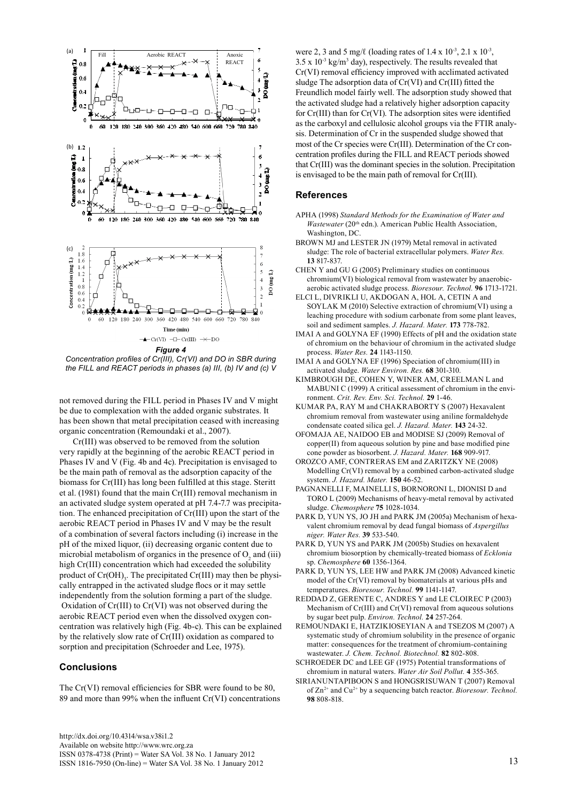

Concentration profiles of Cr(III), Cr(VI) and DO in SBR during the FILL and REACT periods in phases (a) III, (b) IV and (c) V

not removed during the FILL period in Phases IV and V might be due to complexation with the added organic substrates. It has been shown that metal precipitation ceased with increasing organic concentration (Remoundaki et al., 2007).

Cr(III) was observed to be removed from the solution very rapidly at the beginning of the aerobic REACT period in Phases IV and V (Fig. 4b and 4c). Precipitation is envisaged to be the main path of removal as the adsorption capacity of the biomass for Cr(III) has long been fulfilled at this stage. Steritt et al. (1981) found that the main Cr(III) removal mechanism in an activated sludge system operated at pH 7.4-7.7 was precipitation. The enhanced precipitation of Cr(III) upon the start of the aerobic REACT period in Phases IV and V may be the result of a combination of several factors including (i) increase in the pH of the mixed liquor, (ii) decreasing organic content due to microbial metabolism of organics in the presence of  $O_2$  and (iii) high Cr(III) concentration which had exceeded the solubility product of  $Cr(OH)_{3}$ . The precipitated  $Cr(III)$  may then be physically entrapped in the activated sludge flocs or it may settle independently from the solution forming a part of the sludge. Oxidation of Cr(III) to Cr(VI) was not observed during the aerobic REACT period even when the dissolved oxygen concentration was relatively high (Fig. 4b-c). This can be explained by the relatively slow rate of Cr(III) oxidation as compared to sorption and precipitation (Schroeder and Lee, 1975).

### **Conclusions**

The Cr(VI) removal efficiencies for SBR were found to be 80, 89 and more than 99% when the influent Cr(VI) concentrations were 2, 3 and 5 mg/ℓ (loading rates of  $1.4 \times 10^{-3}$ ,  $2.1 \times 10^{-3}$ ,  $3.5 \times 10^{-3}$  kg/m<sup>3</sup> day), respectively. The results revealed that Cr(VI) removal efficiency improved with acclimated activated sludge The adsorption data of Cr(VI) and Cr(III) fitted the Freundlich model fairly well. The adsorption study showed that the activated sludge had a relatively higher adsorption capacity for Cr(III) than for Cr(VI). The adsorption sites were identified as the carboxyl and cellulosic alcohol groups via the FTIR analysis. Determination of Cr in the suspended sludge showed that most of the Cr species were Cr(III). Determination of the Cr concentration profiles during the FILL and REACT periods showed that Cr(III) was the dominant species in the solution. Precipitation is envisaged to be the main path of removal for Cr(III).

## **References**

- APHA (1998) *Standard Methods for the Examination of Water and Wastewater* (20<sup>th</sup> edn.). American Public Health Association, Washington, DC.
- BROWN MJ and LESTER JN (1979) Metal removal in activated sludge: The role of bacterial extracellular polymers. *Water Res.* **13** 817-837.
- CHEN Y and GU G (2005) Preliminary studies on continuous chromium(VI) biological removal from wastewater by anaerobicaerobic activated sludge process. *Bioresour. Technol.* **96** 1713-1721.
- ELCI L, DIVRIKLI U, AKDOGAN A, HOL A, CETIN A and SOYLAK M (2010) Selective extraction of chromium(VI) using a leaching procedure with sodium carbonate from some plant leaves, soil and sediment samples. *J. Hazard. Mater.* **173** 778-782.
- IMAI A and GOLYNA EF (1990) Effects of pH and the oxidation state of chromium on the behaviour of chromium in the activated sludge process. *Water Res.* **24** 1143-1150.
- IMAI A and GOLYNA EF (1996) Speciation of chromium(III) in activated sludge. *Water Environ. Res.* **68** 301-310.
- KIMBROUGH DE, COHEN Y, WINER AM, CREELMAN L and MABUNI C (1999) A critical assessment of chromium in the environment. *Crit. Rev. Env. Sci. Technol.* **29** 1-46.
- KUMAR PA, RAY M and CHAKRABORTY S (2007) Hexavalent chromium removal from wastewater using aniline formaldehyde condensate coated silica gel. *J. Hazard. Mater.* **143** 24-32.
- OFOMAJA AE, NAIDOO EB and MODISE SJ (2009) Removal of copper(II) from aqueous solution by pine and base modified pine cone powder as biosorbent. *J. Hazard. Mater.* **168** 909-917.
- OROZCO AMF, CONTRERAS EM and ZARITZKY NE (2008) Modelling Cr(VI) removal by a combined carbon-activated sludge system. *J. Hazard. Mater.* **150** 46-52.
- PAGNANELLI F, MAINELLI S, BORNORONI L, DIONISI D and TORO L (2009) Mechanisms of heavy-metal removal by activated sludge. *Chemosphere* **75** 1028-1034.
- PARK D, YUN YS, JO JH and PARK JM (2005a) Mechanism of hexavalent chromium removal by dead fungal biomass of *Aspergillus niger. Water Res.* **39** 533-540.
- PARK D, YUN YS and PARK JM (2005b) Studies on hexavalent chromium biosorption by chemically-treated biomass of *Ecklonia*  sp. *Chemosphere* **60** 1356-1364.
- PARK D, YUN YS, LEE HW and PARK JM (2008) Advanced kinetic model of the Cr(VI) removal by biomaterials at various pHs and temperatures. *Bioresour. Technol.* **99** 1141-1147.
- REDDAD Z, GERENTE C, ANDRES Y and LE CLOIREC P (2003) Mechanism of Cr(III) and Cr(VI) removal from aqueous solutions by sugar beet pulp. *Environ. Technol.* **24** 257-264.
- REMOUNDAKI E, HATZIKIOSEYIAN A and TSEZOS M (2007) A systematic study of chromium solubility in the presence of organic matter: consequences for the treatment of chromium-containing wastewater. *J. Chem. Technol. Biotechnol.* **82** 802-808.
- SCHROEDER DC and LEE GF (1975) Potential transformations of chromium in natural waters. *Water Air Soil Pollut.* **4** 355-365.
- SIRIANUNTAPIBOON S and HONGSRISUWAN T (2007) Removal of Zn2+ and Cu2+ by a sequencing batch reactor. *Bioresour. Technol.* **98** 808-818.

[http://dx.doi.org/10.4314/wsa.v38i1.2](http://dx.doi.org/10.4314/wsa.v37i4.18) Available on website http://www.wrc.org.za ISSN 0378-4738 (Print) = Water SA Vol. 38 No. 1 January 2012 ISSN 1816-7950 (On-line) = Water SA Vol. 38 No. 1 January 2012 13